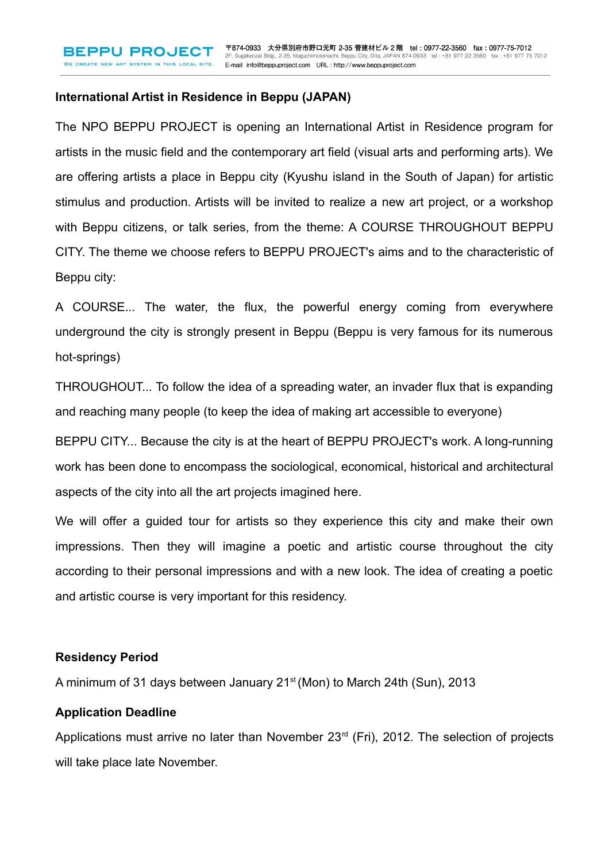### **International Artist in Residence in Beppu (JAPAN)**

The NPO BEPPU PROJECT is opening an International Artist in Residence program for artists in the music field and the contemporary art field (visual arts and performing arts). We are offering artists a place in Beppu city (Kyushu island in the South of Japan) for artistic stimulus and production. Artists will be invited to realize a new art project, or a workshop with Beppu citizens, or talk series, from the theme: A COURSE THROUGHOUT BEPPU CITY. The theme we choose refers to BEPPU PROJECT's aims and to the characteristic of Beppu city:

A COURSE... The water, the flux, the powerful energy coming from everywhere underground the city is strongly present in Beppu (Beppu is very famous for its numerous hot-springs)

THROUGHOUT... To follow the idea of a spreading water, an invader flux that is expanding and reaching many people (to keep the idea of making art accessible to everyone)

BEPPU CITY... Because the city is at the heart of BEPPU PROJECT's work. A long-running work has been done to encompass the sociological, economical, historical and architectural aspects of the city into all the art projects imagined here.

We will offer a guided tour for artists so they experience this city and make their own impressions. Then they will imagine a poetic and artistic course throughout the city according to their personal impressions and with a new look. The idea of creating a poetic and artistic course is very important for this residency.

### **Residency Period**

A minimum of 31 days between January 21<sup>st</sup> (Mon) to March 24th (Sun), 2013

#### **Application Deadline**

Applications must arrive no later than November 23<sup>rd</sup> (Fri), 2012. The selection of projects will take place late November.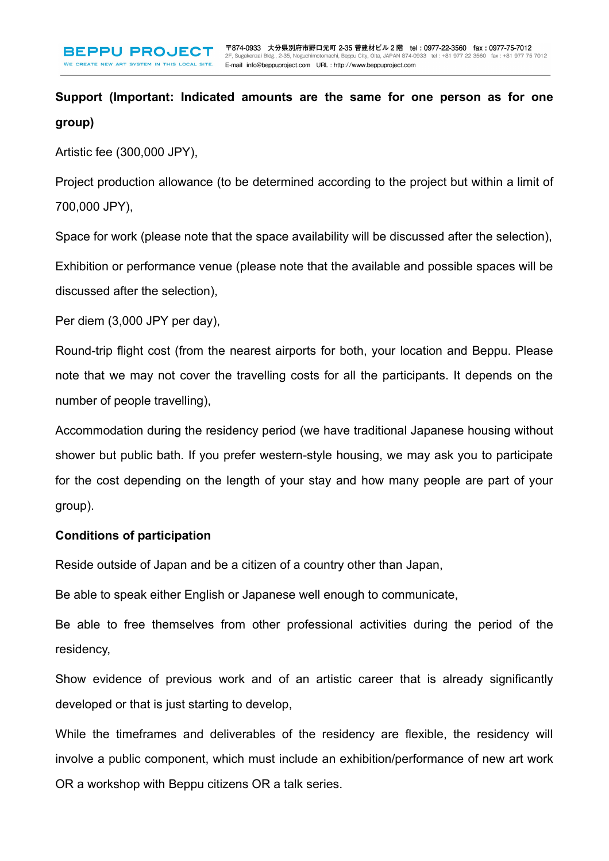**Support (Important: Indicated amounts are the same for one person as for one group)**

Artistic fee (300,000 JPY),

Project production allowance (to be determined according to the project but within a limit of 700,000 JPY),

Space for work (please note that the space availability will be discussed after the selection),

Exhibition or performance venue (please note that the available and possible spaces will be discussed after the selection),

Per diem (3,000 JPY per day),

Round-trip flight cost (from the nearest airports for both, your location and Beppu. Please note that we may not cover the travelling costs for all the participants. It depends on the number of people travelling),

Accommodation during the residency period (we have traditional Japanese housing without shower but public bath. If you prefer western-style housing, we may ask you to participate for the cost depending on the length of your stay and how many people are part of your group).

## **Conditions of participation**

Reside outside of Japan and be a citizen of a country other than Japan,

Be able to speak either English or Japanese well enough to communicate,

Be able to free themselves from other professional activities during the period of the residency,

Show evidence of previous work and of an artistic career that is already significantly developed or that is just starting to develop,

While the timeframes and deliverables of the residency are flexible, the residency will involve a public component, which must include an exhibition/performance of new art work OR a workshop with Beppu citizens OR a talk series.